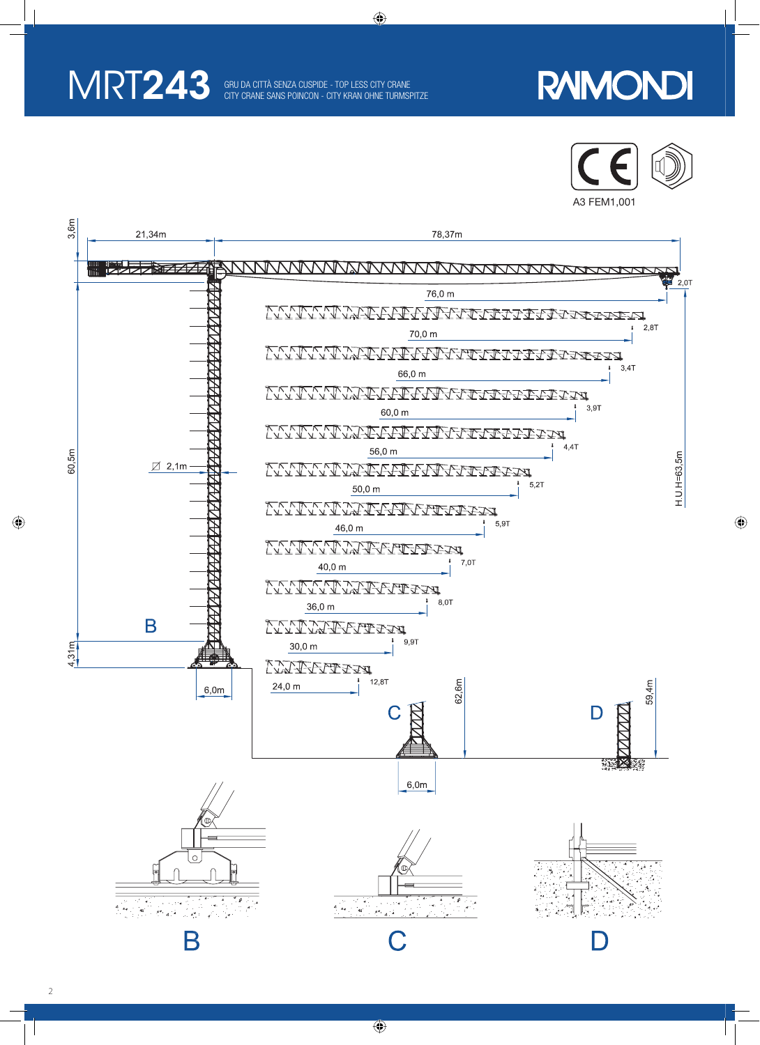

◈

 $\overline{\phantom{a}}$ 

◈

### **RAIMONDI**



 $\bigoplus$ 



 $\bigoplus$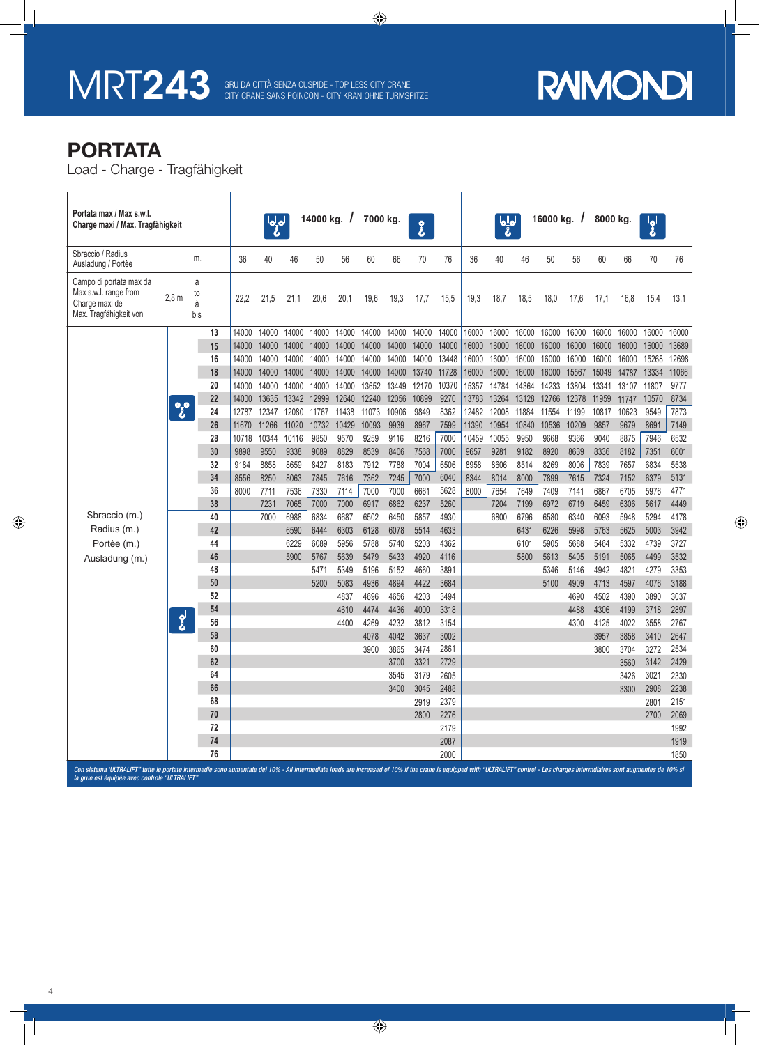## MRT243 GRU DA CITTÀ SENZA CUSPIDE - TOP LESS CITY CRANE CITY CRANE SANS POINCON - CITY KRAN OHNE TURMSPITZE

⊕

# **RAIMONDI**

 $\bigoplus$ 

#### **PORTATA**

 $\bigcirc$ 

Load - Charge - Tragfähigkeit

| Portata max / Max s.w.l.<br>Charge maxi / Max. Tragfähigkeit                                 |                         |                     |          |               |               |               |              | 14000 kg. $/$<br>7000 kg. |              |              | $\mathbf{g}^{\prime}$ |              | $\frac{1}{\sigma}$ |               |              | 16000 kg. $/$ |              | 8000 kg.     |              | $\overline{\mathbf{g}}^{\parallel}$ |              |
|----------------------------------------------------------------------------------------------|-------------------------|---------------------|----------|---------------|---------------|---------------|--------------|---------------------------|--------------|--------------|-----------------------|--------------|--------------------|---------------|--------------|---------------|--------------|--------------|--------------|-------------------------------------|--------------|
| Sbraccio / Radius<br>Ausladung / Portèe                                                      |                         | m.                  |          | 36            | 40            | 46            | 50           | 56                        | 60           | 66           | 70                    | 76           | 36                 | 40            | 46           | 50            | 56           | 60           | 66           | 70                                  | 76           |
| Campo di portata max da<br>Max s.w.l. range from<br>Charge maxi de<br>Max. Tragfähigkeit von | 2.8 <sub>m</sub>        | a<br>to<br>à<br>bis |          | 22,2          | 21,5          | 21,1          | 20,6         | 20,1                      | 19,6         | 19,3         | 17,7                  | 15,5         | 19,3               | 18,7          | 18,5         | 18,0          | 17,6         | 17,1         | 16,8         | 15,4                                | 13,1         |
| Sbraccio (m.)<br>Radius (m.)<br>Portèe (m.)<br>Ausladung (m.)                                | $\frac{1}{\sigma}$      |                     | 13       | 14000         | 14000         | 14000         | 14000        | 14000                     | 14000        | 14000        | 14000                 | 14000        | 16000              | 16000         | 16000        | 16000         | 16000        | 16000        | 16000        | 16000                               | 16000        |
|                                                                                              |                         |                     | 15       | 14000         | 14000         | 14000         | 14000        | 14000                     | 14000        | 14000        | 14000                 | 14000        | 16000              | 16000         | 16000        | 16000         | 16000        | 16000        | 16000        | 16000                               | 13689        |
|                                                                                              |                         |                     | 16       | 14000         | 14000         | 14000         | 14000        | 14000                     | 14000        | 14000        | 14000                 | 13448        | 16000              | 16000         | 16000        | 16000         | 16000        | 16000        | 16000        | 15268                               | 12698        |
|                                                                                              |                         |                     | 18       | 14000         | 14000         | 14000         | 14000        | 14000                     | 14000        | 14000        | 13740                 | 11728        | 16000              | 16000         | 16000        | 16000         | 15567        | 15049        | 14787        | 13334                               | 11066        |
|                                                                                              |                         |                     | 20       | 14000         | 14000         | 14000         | 14000        | 14000                     | 13652        | 13449        | 12170                 | 10370        | 15357              | 14784         | 14364        | 14233         | 13804        | 13341        | 13107        | 11807                               | 9777         |
|                                                                                              |                         |                     | 22       | 14000         | 13635         | 13342         | 12999        | 12640                     | 12240        | 12056        | 10899                 | 9270         | 13783              | 13264         | 13128        | 12766         | 12378        | 11959        | 11747        | 10570                               | 8734         |
|                                                                                              |                         |                     | 24       | 12787         | 12347         | 12080         | 11767        | 11438                     | 11073        | 10906        | 9849                  | 8362         | 12482              | 12008         | 11884        | 11554         | 11199        | 10817        | 10623        | 9549                                | 7873         |
|                                                                                              |                         |                     | 26       | 11670         | 11266         | 11020         | 10732        | 10429                     | 10093        | 9939         | 8967                  | 7599         | 11390              | 10954         | 10840        | 10536         | 10209        | 9857         | 9679         | 8691                                | 7149         |
|                                                                                              |                         |                     | 28<br>30 | 10718<br>9898 | 10344<br>9550 | 10116<br>9338 | 9850<br>9089 | 9570<br>8829              | 9259<br>8539 | 9116<br>8406 | 8216<br>7568          | 7000<br>7000 | 10459<br>9657      | 10055<br>9281 | 9950<br>9182 | 9668<br>8920  | 9366<br>8639 | 9040<br>8336 | 8875<br>8182 | 7946<br>7351                        | 6532<br>6001 |
|                                                                                              |                         |                     | 32       | 9184          | 8858          | 8659          | 8427         | 8183                      | 7912         | 7788         | 7004                  | 6506         | 8958               | 8606          | 8514         | 8269          | 8006         | 7839         | 7657         | 6834                                | 5538         |
|                                                                                              |                         |                     | 34       | 8556          | 8250          | 8063          | 7845         | 7616                      | 7362         | 7245         | 7000                  | 6040         | 8344               | 8014          | 8000         | 7899          | 7615         | 7324         | 7152         | 6379                                | 5131         |
|                                                                                              |                         |                     | 36       | 8000          | 7711          | 7536          | 7330         | 7114                      | 7000         | 7000         | 6661                  | 5628         | 8000               | 7654          | 7649         | 7409          | 7141         | 6867         | 6705         | 5976                                | 4771         |
|                                                                                              |                         |                     | 38       |               | 7231          | 7065          | 7000         | 7000                      | 6917         | 6862         | 6237                  | 5260         |                    | 7204          | 7199         | 6972          | 6719         | 6459         | 6306         | 5617                                | 4449         |
|                                                                                              | $\overline{\mathbf{z}}$ |                     | 40       |               | 7000          | 6988          | 6834         | 6687                      | 6502         | 6450         | 5857                  | 4930         |                    | 6800          | 6796         | 6580          | 6340         | 6093         | 5948         | 5294                                | 4178         |
|                                                                                              |                         |                     | 42       |               |               | 6590          | 6444         | 6303                      | 6128         | 6078         | 5514                  | 4633         |                    |               | 6431         | 6226          | 5998         | 5763         | 5625         | 5003                                | 3942         |
|                                                                                              |                         |                     | 44       |               |               | 6229          | 6089         | 5956                      | 5788         | 5740         | 5203                  | 4362         |                    |               | 6101         | 5905          | 5688         | 5464         | 5332         | 4739                                | 3727         |
|                                                                                              |                         |                     | 46       |               |               | 5900          | 5767         | 5639                      | 5479         | 5433         | 4920                  | 4116         |                    |               | 5800         | 5613          | 5405         | 5191         | 5065         | 4499                                | 3532         |
|                                                                                              |                         |                     | 48       |               |               |               | 5471         | 5349                      | 5196         | 5152         | 4660                  | 3891         |                    |               |              | 5346          | 5146         | 4942         | 4821         | 4279                                | 3353         |
|                                                                                              |                         |                     | 50       |               |               |               | 5200         | 5083                      | 4936         | 4894         | 4422                  | 3684         |                    |               |              | 5100          | 4909         | 4713         | 4597         | 4076                                | 3188         |
|                                                                                              |                         |                     | 52       |               |               |               |              | 4837                      | 4696         | 4656         | 4203                  | 3494         |                    |               |              |               | 4690         | 4502         | 4390         | 3890                                | 3037         |
|                                                                                              |                         |                     | 54       |               |               |               |              | 4610                      | 4474         | 4436         | 4000                  | 3318         |                    |               |              |               | 4488         | 4306         | 4199         | 3718                                | 2897         |
|                                                                                              |                         |                     | 56<br>58 |               |               |               |              | 4400                      | 4269         | 4232         | 3812                  | 3154         |                    |               |              |               | 4300         | 4125         | 4022         | 3558                                | 2767         |
|                                                                                              |                         |                     | 60       |               |               |               |              |                           | 4078<br>3900 | 4042<br>3865 | 3637<br>3474          | 3002<br>2861 |                    |               |              |               |              | 3957<br>3800 | 3858<br>3704 | 3410<br>3272                        | 2647<br>2534 |
|                                                                                              |                         |                     | 62       |               |               |               |              |                           |              | 3700         | 3321                  | 2729         |                    |               |              |               |              |              | 3560         | 3142                                | 2429         |
|                                                                                              |                         |                     | 64       |               |               |               |              |                           |              | 3545         | 3179                  | 2605         |                    |               |              |               |              |              | 3426         | 3021                                | 2330         |
|                                                                                              |                         |                     | 66       |               |               |               |              |                           |              | 3400         | 3045                  | 2488         |                    |               |              |               |              |              | 3300         | 2908                                | 2238         |
|                                                                                              |                         |                     | 68       |               |               |               |              |                           |              |              | 2919                  | 2379         |                    |               |              |               |              |              |              | 2801                                | 2151         |
|                                                                                              |                         |                     | 70       |               |               |               |              |                           |              |              | 2800                  | 2276         |                    |               |              |               |              |              |              | 2700                                | 2069         |
|                                                                                              |                         |                     | 72       |               |               |               |              |                           |              |              |                       | 2179         |                    |               |              |               |              |              |              |                                     | 1992         |
|                                                                                              |                         |                     | 74       |               |               |               |              |                           |              |              |                       | 2087         |                    |               |              |               |              |              |              |                                     | 1919         |
|                                                                                              |                         |                     | 76       |               |               |               |              |                           |              |              |                       | 2000         |                    |               |              |               |              |              |              |                                     | 1850         |

liate loads are increased of 10% if the crane is equipped with "ULTRALIFT" control - Les charges intermdiaires sont augmentes de 10% si Con sistema 'ULTRALIFT" tutte le portate intermedie sono<br>la grue est équipèe avec controle "ULTRALIFT"

 $\bigcirc$